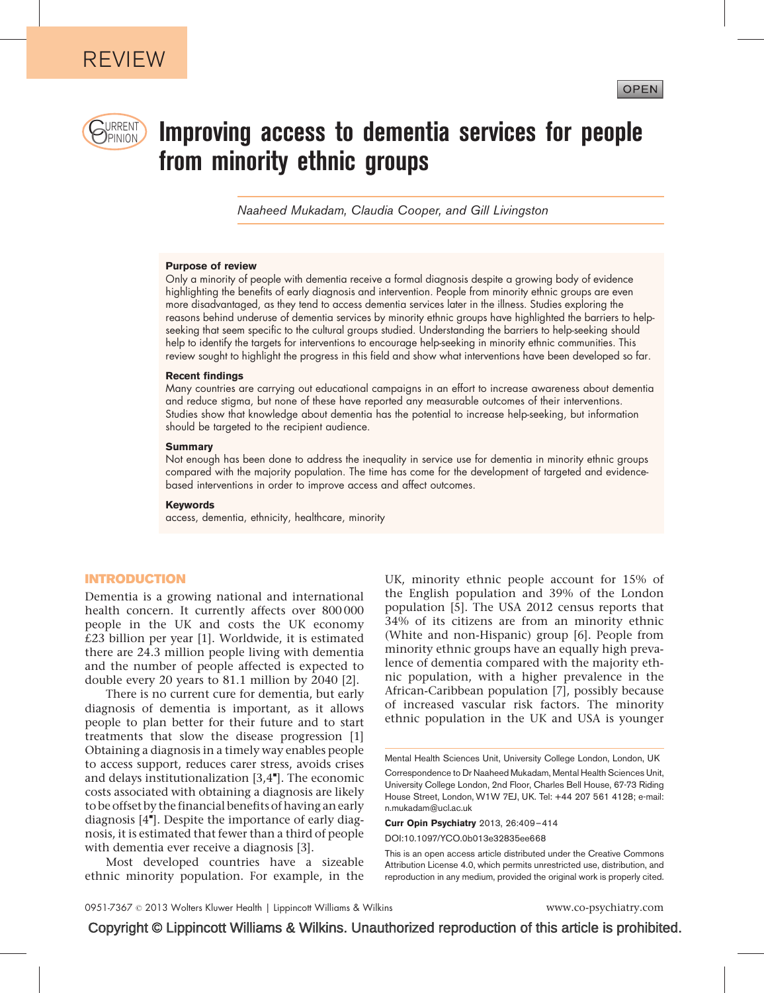

# $\mathbb{C}_{\mathsf{PINION}}$  Improving access to dementia services for people from minority ethnic groups

Naaheed Mukadam, Claudia Cooper, and Gill Livingston

#### Purpose of review

Only a minority of people with dementia receive a formal diagnosis despite a growing body of evidence highlighting the benefits of early diagnosis and intervention. People from minority ethnic groups are even more disadvantaged, as they tend to access dementia services later in the illness. Studies exploring the reasons behind underuse of dementia services by minority ethnic groups have highlighted the barriers to helpseeking that seem specific to the cultural groups studied. Understanding the barriers to help-seeking should help to identify the targets for interventions to encourage help-seeking in minority ethnic communities. This review sought to highlight the progress in this field and show what interventions have been developed so far.

#### Recent findings

Many countries are carrying out educational campaigns in an effort to increase awareness about dementia and reduce stigma, but none of these have reported any measurable outcomes of their interventions. Studies show that knowledge about dementia has the potential to increase help-seeking, but information should be targeted to the recipient audience.

#### **Summary**

Not enough has been done to address the inequality in service use for dementia in minority ethnic groups compared with the majority population. The time has come for the development of targeted and evidencebased interventions in order to improve access and affect outcomes.

#### Keywords

access, dementia, ethnicity, healthcare, minority

# INTRODUCTION

Dementia is a growing national and international health concern. It currently affects over 800 000 people in the UK and costs the UK economy £23 billion per year [\[1\]](#page-4-0). Worldwide, it is estimated there are 24.3 million people living with dementia and the number of people affected is expected to double every 20 years to 81.1 million by 2040 [\[2\]](#page-4-0).

There is no current cure for dementia, but early diagnosis of dementia is important, as it allows people to plan better for their future and to start treatments that slow the disease progression [\[1\]](#page-4-0) Obtaining a diagnosis in a timely way enables people to access support, reduces carer stress, avoids crises and delays institutionalization  $[3,4"$  $[3,4"$ [\].](#page-4-0) The economic costs associated with obtaining a diagnosis are likely to be offset by the financial benefits of having an early diagnosis [\[4](#page-4-0)"[\]](#page-4-0). Despite the importance of early diagnosis, it is estimated that fewer than a third of people with dementia ever receive a diagnosis [\[3\]](#page-4-0).

Most developed countries have a sizeable ethnic minority population. For example, in the

UK, minority ethnic people account for 15% of the English population and 39% of the London population [\[5\]](#page-4-0). The USA 2012 census reports that 34% of its citizens are from an minority ethnic (White and non-Hispanic) group [\[6\].](#page-4-0) People from minority ethnic groups have an equally high prevalence of dementia compared with the majority ethnic population, with a higher prevalence in the African-Caribbean population [\[7\],](#page-4-0) possibly because of increased vascular risk factors. The minority ethnic population in the UK and USA is younger

Mental Health Sciences Unit, University College London, London, UK

Curr Opin Psychiatry 2013, 26:409–414 DOI:10.1097/YCO.0b013e32835ee668

This is an open access article distributed under the Creative Commons Attribution License 4.0, which permits unrestricted use, distribution, and reproduction in any medium, provided the original work is properly cited.

Copyright © Lippincott Williams & Wilkins. Unauthorized reproduction of this article is prohibited.

Correspondence to Dr Naaheed Mukadam, Mental Health Sciences Unit, University College London, 2nd Floor, Charles Bell House, 67-73 Riding House Street, London, W1W 7EJ, UK. Tel: +44 207 561 4128; e-mail: n.mukadam@ucl.ac.uk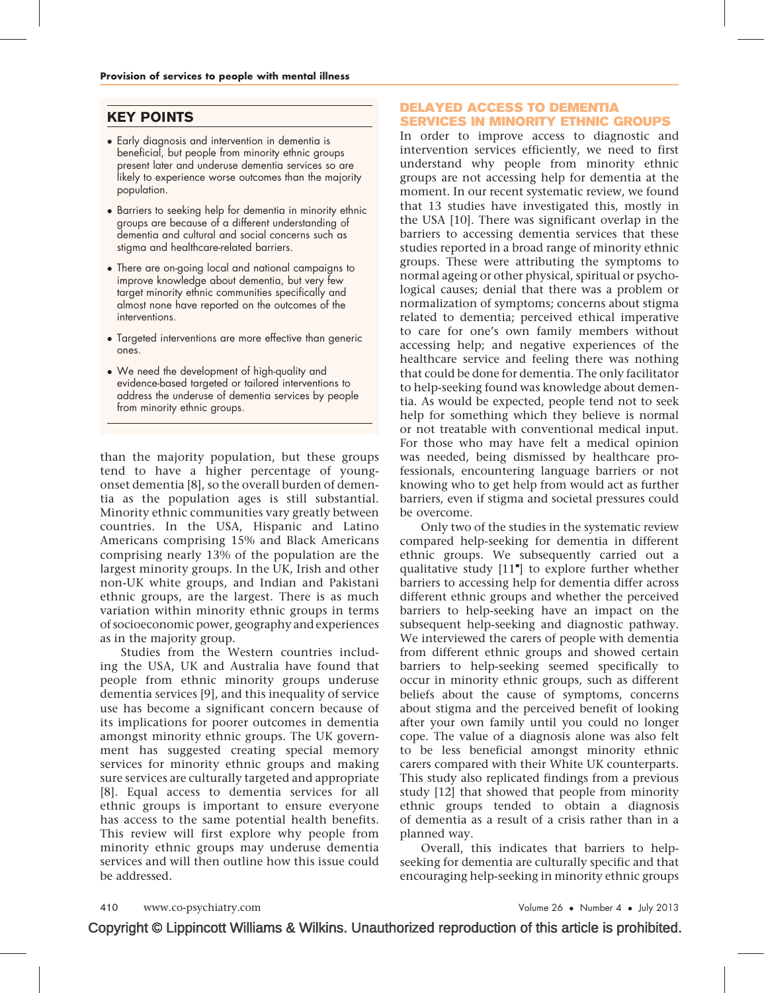# KEY POINTS

- Early diagnosis and intervention in dementia is beneficial, but people from minority ethnic groups present later and underuse dementia services so are likely to experience worse outcomes than the majority population.
- Barriers to seeking help for dementia in minority ethnic groups are because of a different understanding of dementia and cultural and social concerns such as stigma and healthcare-related barriers.
- There are on-going local and national campaigns to improve knowledge about dementia, but very few target minority ethnic communities specifically and almost none have reported on the outcomes of the interventions.
- Targeted interventions are more effective than generic ones.
- We need the development of high-quality and evidence-based targeted or tailored interventions to address the underuse of dementia services by people from minority ethnic groups.

than the majority population, but these groups tend to have a higher percentage of youngonset dementia [\[8\],](#page-4-0) so the overall burden of dementia as the population ages is still substantial. Minority ethnic communities vary greatly between countries. In the USA, Hispanic and Latino Americans comprising 15% and Black Americans comprising nearly 13% of the population are the largest minority groups. In the UK, Irish and other non-UK white groups, and Indian and Pakistani ethnic groups, are the largest. There is as much variation within minority ethnic groups in terms of socioeconomic power, geography and experiences as in the majority group.

Studies from the Western countries including the USA, UK and Australia have found that people from ethnic minority groups underuse dementia services [\[9\]](#page-4-0), and this inequality of service use has become a significant concern because of its implications for poorer outcomes in dementia amongst minority ethnic groups. The UK government has suggested creating special memory services for minority ethnic groups and making sure services are culturally targeted and appropriate [\[8\]](#page-4-0). Equal access to dementia services for all ethnic groups is important to ensure everyone has access to the same potential health benefits. This review will first explore why people from minority ethnic groups may underuse dementia services and will then outline how this issue could be addressed.

# DELAYED ACCESS TO DEMENTIA SERVICES IN MINORITY ETHNIC GROUPS

In order to improve access to diagnostic and intervention services efficiently, we need to first understand why people from minority ethnic groups are not accessing help for dementia at the moment. In our recent systematic review, we found that 13 studies have investigated this, mostly in the USA [\[10\].](#page-4-0) There was significant overlap in the barriers to accessing dementia services that these studies reported in a broad range of minority ethnic groups. These were attributing the symptoms to normal ageing or other physical, spiritual or psychological causes; denial that there was a problem or normalization of symptoms; concerns about stigma related to dementia; perceived ethical imperative to care for one's own family members without accessing help; and negative experiences of the healthcare service and feeling there was nothing that could be done for dementia. The only facilitator to help-seeking found was knowledge about dementia. As would be expected, people tend not to seek help for something which they believe is normal or not treatable with conventional medical input. For those who may have felt a medical opinion was needed, being dismissed by healthcare professionals, encountering language barriers or not knowing who to get help from would act as further barriers, even if stigma and societal pressures could be overcome.

Only two of the studies in the systematic review compared help-seeking for dementia in different ethnic groups. We subsequently carried out a qualitative study [\[11](#page-4-0)"[\]](#page-4-0) to explore further whether barriers to accessing help for dementia differ across different ethnic groups and whether the perceived barriers to help-seeking have an impact on the subsequent help-seeking and diagnostic pathway. We interviewed the carers of people with dementia from different ethnic groups and showed certain barriers to help-seeking seemed specifically to occur in minority ethnic groups, such as different beliefs about the cause of symptoms, concerns about stigma and the perceived benefit of looking after your own family until you could no longer cope. The value of a diagnosis alone was also felt to be less beneficial amongst minority ethnic carers compared with their White UK counterparts. This study also replicated findings from a previous study [\[12\]](#page-4-0) that showed that people from minority ethnic groups tended to obtain a diagnosis of dementia as a result of a crisis rather than in a planned way.

Overall, this indicates that barriers to helpseeking for dementia are culturally specific and that encouraging help-seeking in minority ethnic groups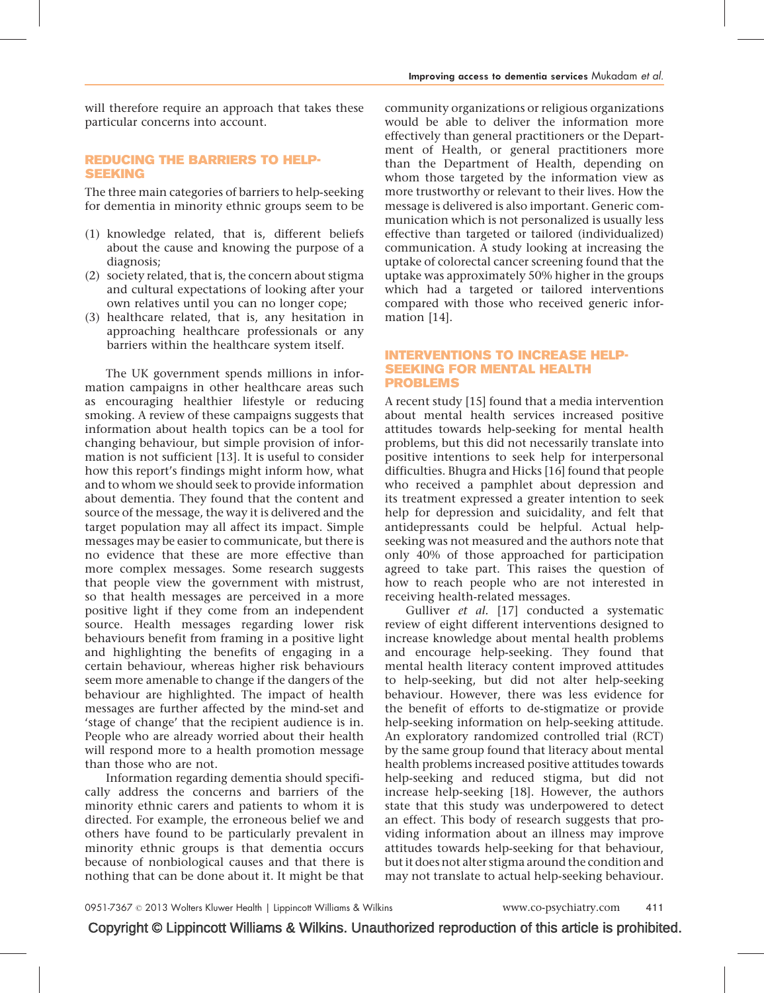will therefore require an approach that takes these particular concerns into account.

# REDUCING THE BARRIERS TO HELP-SEEKING

The three main categories of barriers to help-seeking for dementia in minority ethnic groups seem to be

- (1) knowledge related, that is, different beliefs about the cause and knowing the purpose of a diagnosis;
- (2) society related, that is, the concern about stigma and cultural expectations of looking after your own relatives until you can no longer cope;
- (3) healthcare related, that is, any hesitation in approaching healthcare professionals or any barriers within the healthcare system itself.

The UK government spends millions in information campaigns in other healthcare areas such as encouraging healthier lifestyle or reducing smoking. A review of these campaigns suggests that information about health topics can be a tool for changing behaviour, but simple provision of information is not sufficient [\[13\]](#page-4-0). It is useful to consider how this report's findings might inform how, what and to whom we should seek to provide information about dementia. They found that the content and source of the message, the way it is delivered and the target population may all affect its impact. Simple messages may be easier to communicate, but there is no evidence that these are more effective than more complex messages. Some research suggests that people view the government with mistrust, so that health messages are perceived in a more positive light if they come from an independent source. Health messages regarding lower risk behaviours benefit from framing in a positive light and highlighting the benefits of engaging in a certain behaviour, whereas higher risk behaviours seem more amenable to change if the dangers of the behaviour are highlighted. The impact of health messages are further affected by the mind-set and 'stage of change' that the recipient audience is in. People who are already worried about their health will respond more to a health promotion message than those who are not.

Information regarding dementia should specifically address the concerns and barriers of the minority ethnic carers and patients to whom it is directed. For example, the erroneous belief we and others have found to be particularly prevalent in minority ethnic groups is that dementia occurs because of nonbiological causes and that there is nothing that can be done about it. It might be that

community organizations or religious organizations would be able to deliver the information more effectively than general practitioners or the Department of Health, or general practitioners more than the Department of Health, depending on whom those targeted by the information view as more trustworthy or relevant to their lives. How the message is delivered is also important. Generic communication which is not personalized is usually less effective than targeted or tailored (individualized) communication. A study looking at increasing the uptake of colorectal cancer screening found that the uptake was approximately 50% higher in the groups which had a targeted or tailored interventions compared with those who received generic information [\[14\]](#page-5-0).

# INTERVENTIONS TO INCREASE HELP-SEEKING FOR MENTAL HEALTH PROBLEMS

A recent study [\[15\]](#page-5-0) found that a media intervention about mental health services increased positive attitudes towards help-seeking for mental health problems, but this did not necessarily translate into positive intentions to seek help for interpersonal difficulties. Bhugra and Hicks [\[16\]](#page-5-0) found that people who received a pamphlet about depression and its treatment expressed a greater intention to seek help for depression and suicidality, and felt that antidepressants could be helpful. Actual helpseeking was not measured and the authors note that only 40% of those approached for participation agreed to take part. This raises the question of how to reach people who are not interested in receiving health-related messages.

Gulliver et al. [\[17\]](#page-5-0) conducted a systematic review of eight different interventions designed to increase knowledge about mental health problems and encourage help-seeking. They found that mental health literacy content improved attitudes to help-seeking, but did not alter help-seeking behaviour. However, there was less evidence for the benefit of efforts to de-stigmatize or provide help-seeking information on help-seeking attitude. An exploratory randomized controlled trial (RCT) by the same group found that literacy about mental health problems increased positive attitudes towards help-seeking and reduced stigma, but did not increase help-seeking [\[18\]](#page-5-0). However, the authors state that this study was underpowered to detect an effect. This body of research suggests that providing information about an illness may improve attitudes towards help-seeking for that behaviour, but it does not alter stigma around the condition and may not translate to actual help-seeking behaviour.

Copyright © Lippincott Williams & Wilkins. Unauthorized reproduction of this article is prohibited.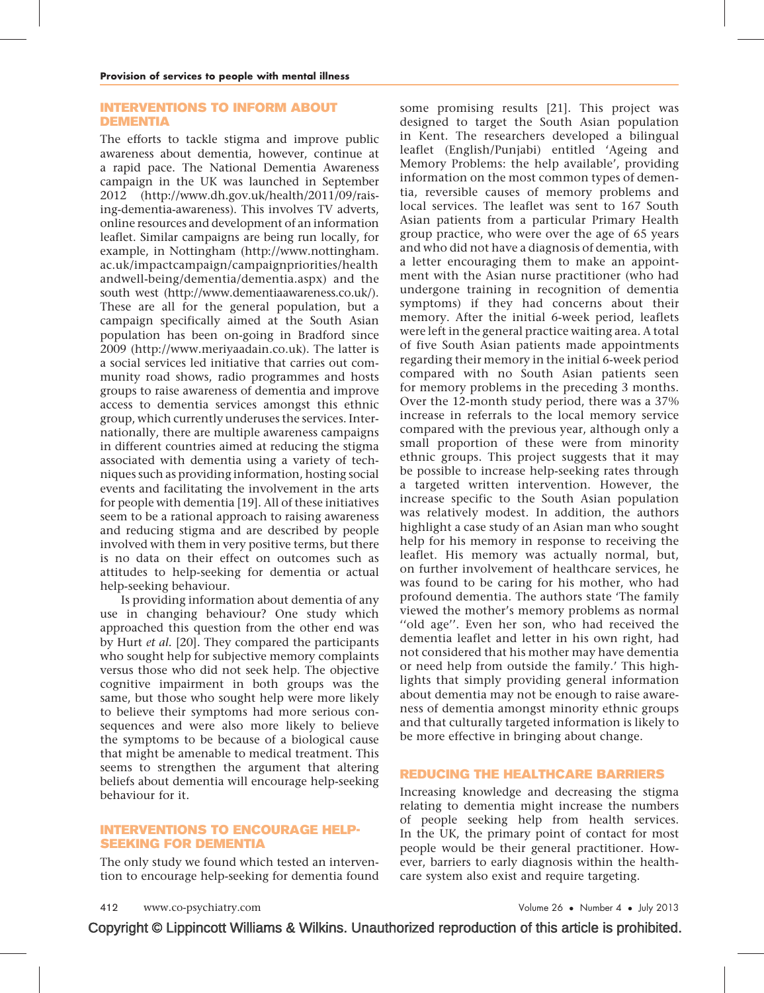# INTERVENTIONS TO INFORM ABOUT **DEMENTIA**

The efforts to tackle stigma and improve public awareness about dementia, however, continue at a rapid pace. The National Dementia Awareness campaign in the UK was launched in September 2012 ([http://www.dh.gov.uk/health/2011/09/rais](http://www.dh.gov.uk/health/2011/09/raising-dementia-awareness)[ing-dementia-awareness\)](http://www.dh.gov.uk/health/2011/09/raising-dementia-awareness). This involves TV adverts, online resources and development of an information leaflet. Similar campaigns are being run locally, for example, in Nottingham ([http://www.nottingham.](http://www.nottingham.ac.uk/impactcampaign/campaignpriorities/healthandwell-being/dementia/dementia.aspx) [ac.uk/impactcampaign/campaignpriorities/health](http://www.nottingham.ac.uk/impactcampaign/campaignpriorities/healthandwell-being/dementia/dementia.aspx) [andwell-being/dementia/dementia.aspx\)](http://www.nottingham.ac.uk/impactcampaign/campaignpriorities/healthandwell-being/dementia/dementia.aspx) and the south west ([http://www.dementiaawareness.co.uk/\)](http://www.dementiaawareness.co.uk/). These are all for the general population, but a campaign specifically aimed at the South Asian population has been on-going in Bradford since 2009 ([http://www.meriyaadain.co.uk\)](http://www.meriyaadain.co.uk/). The latter is a social services led initiative that carries out community road shows, radio programmes and hosts groups to raise awareness of dementia and improve access to dementia services amongst this ethnic group, which currently underuses the services. Internationally, there are multiple awareness campaigns in different countries aimed at reducing the stigma associated with dementia using a variety of techniques such as providing information, hosting social events and facilitating the involvement in the arts for people with dementia [\[19\]](#page-5-0). All of these initiatives seem to be a rational approach to raising awareness and reducing stigma and are described by people involved with them in very positive terms, but there is no data on their effect on outcomes such as attitudes to help-seeking for dementia or actual help-seeking behaviour.

Is providing information about dementia of any use in changing behaviour? One study which approached this question from the other end was by Hurt et al. [\[20\].](#page-5-0) They compared the participants who sought help for subjective memory complaints versus those who did not seek help. The objective cognitive impairment in both groups was the same, but those who sought help were more likely to believe their symptoms had more serious consequences and were also more likely to believe the symptoms to be because of a biological cause that might be amenable to medical treatment. This seems to strengthen the argument that altering beliefs about dementia will encourage help-seeking behaviour for it.

# INTERVENTIONS TO ENCOURAGE HELP-SEEKING FOR DEMENTIA

The only study we found which tested an intervention to encourage help-seeking for dementia found

some promising results [\[21\].](#page-5-0) This project was designed to target the South Asian population in Kent. The researchers developed a bilingual leaflet (English/Punjabi) entitled 'Ageing and Memory Problems: the help available', providing information on the most common types of dementia, reversible causes of memory problems and local services. The leaflet was sent to 167 South Asian patients from a particular Primary Health group practice, who were over the age of 65 years and who did not have a diagnosis of dementia, with a letter encouraging them to make an appointment with the Asian nurse practitioner (who had undergone training in recognition of dementia symptoms) if they had concerns about their memory. After the initial 6-week period, leaflets were left in the general practice waiting area. A total of five South Asian patients made appointments regarding their memory in the initial 6-week period compared with no South Asian patients seen for memory problems in the preceding 3 months. Over the 12-month study period, there was a 37% increase in referrals to the local memory service compared with the previous year, although only a small proportion of these were from minority ethnic groups. This project suggests that it may be possible to increase help-seeking rates through a targeted written intervention. However, the increase specific to the South Asian population was relatively modest. In addition, the authors highlight a case study of an Asian man who sought help for his memory in response to receiving the leaflet. His memory was actually normal, but, on further involvement of healthcare services, he was found to be caring for his mother, who had profound dementia. The authors state 'The family viewed the mother's memory problems as normal ''old age''. Even her son, who had received the dementia leaflet and letter in his own right, had not considered that his mother may have dementia or need help from outside the family.' This highlights that simply providing general information about dementia may not be enough to raise awareness of dementia amongst minority ethnic groups and that culturally targeted information is likely to be more effective in bringing about change.

# REDUCING THE HEALTHCARE BARRIERS

Increasing knowledge and decreasing the stigma relating to dementia might increase the numbers of people seeking help from health services. In the UK, the primary point of contact for most people would be their general practitioner. However, barriers to early diagnosis within the healthcare system also exist and require targeting.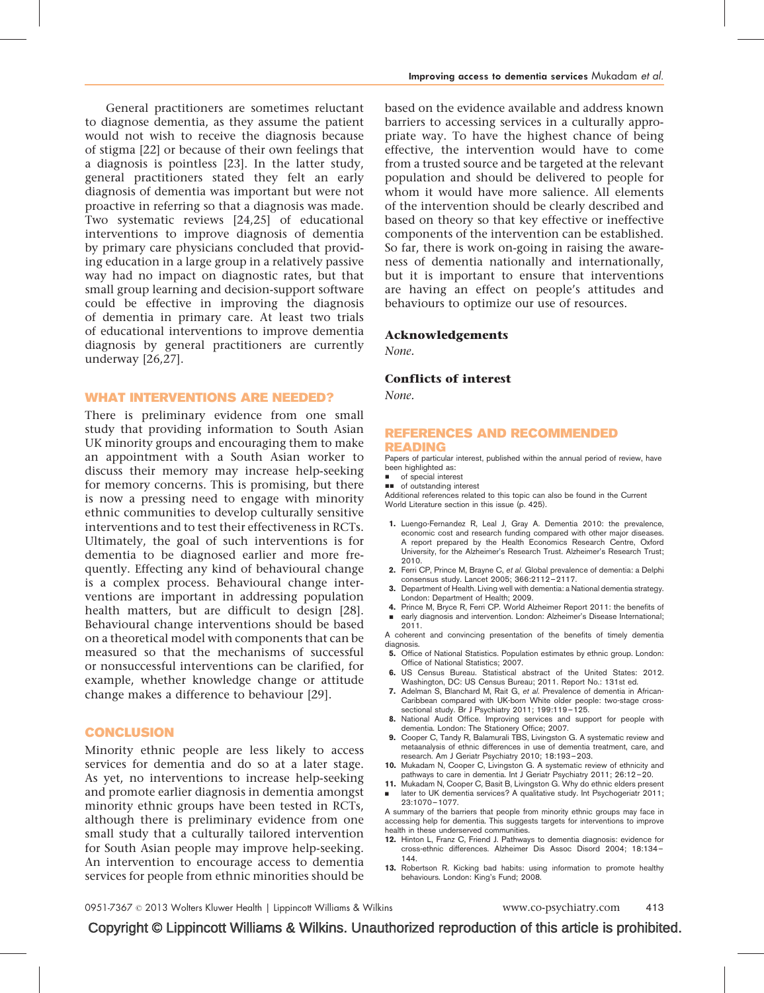<span id="page-4-0"></span>General practitioners are sometimes reluctant to diagnose dementia, as they assume the patient would not wish to receive the diagnosis because of stigma [\[22\]](#page-5-0) or because of their own feelings that a diagnosis is pointless [\[23\]](#page-5-0). In the latter study, general practitioners stated they felt an early diagnosis of dementia was important but were not proactive in referring so that a diagnosis was made. Two systematic reviews [\[24,25\]](#page-5-0) of educational interventions to improve diagnosis of dementia by primary care physicians concluded that providing education in a large group in a relatively passive way had no impact on diagnostic rates, but that small group learning and decision-support software could be effective in improving the diagnosis of dementia in primary care. At least two trials of educational interventions to improve dementia diagnosis by general practitioners are currently underway [\[26,27\].](#page-5-0)

#### WHAT INTERVENTIONS ARE NEEDED?

There is preliminary evidence from one small study that providing information to South Asian UK minority groups and encouraging them to make an appointment with a South Asian worker to discuss their memory may increase help-seeking for memory concerns. This is promising, but there is now a pressing need to engage with minority ethnic communities to develop culturally sensitive interventions and to test their effectiveness in RCTs. Ultimately, the goal of such interventions is for dementia to be diagnosed earlier and more frequently. Effecting any kind of behavioural change is a complex process. Behavioural change interventions are important in addressing population health matters, but are difficult to design [\[28\]](#page-5-0). Behavioural change interventions should be based on a theoretical model with components that can be measured so that the mechanisms of successful or nonsuccessful interventions can be clarified, for example, whether knowledge change or attitude change makes a difference to behaviour [\[29\].](#page-5-0)

#### **CONCLUSION**

Minority ethnic people are less likely to access services for dementia and do so at a later stage. As yet, no interventions to increase help-seeking and promote earlier diagnosis in dementia amongst minority ethnic groups have been tested in RCTs, although there is preliminary evidence from one small study that a culturally tailored intervention for South Asian people may improve help-seeking. An intervention to encourage access to dementia services for people from ethnic minorities should be

based on the evidence available and address known barriers to accessing services in a culturally appropriate way. To have the highest chance of being effective, the intervention would have to come from a trusted source and be targeted at the relevant population and should be delivered to people for whom it would have more salience. All elements of the intervention should be clearly described and based on theory so that key effective or ineffective components of the intervention can be established. So far, there is work on-going in raising the awareness of dementia nationally and internationally, but it is important to ensure that interventions are having an effect on people's attitudes and behaviours to optimize our use of resources.

#### Acknowledgements

None.

# Conflicts of interest

None.

#### REFERENCES AND RECOMMENDED READING

Papers of particular interest, published within the annual period of review, have been highlighted as:

- **of special interest**
- $\Box$  of outstanding interest

Additional references related to this topic can also be found in the Current World Literature section in this issue (p. 425).

- 1. Luengo-Fernandez R, Leal J, Gray A. Dementia 2010: the prevalence, economic cost and research funding compared with other major diseases. A report prepared by the Health Economics Research Centre, Oxford University, for the Alzheimer's Research Trust. Alzheimer's Research Trust; 2010.
- 2. Ferri CP, Prince M, Brayne C, et al. Global prevalence of dementia: a Delphi consensus study. Lancet 2005; 366:2112–2117.
- 3. Department of Health. Living well with dementia: a National dementia strategy. London: Department of Health; 2009.
- 4. Prince M, Bryce R, Ferri CP. World Alzheimer Report 2011: the benefits of & early diagnosis and intervention. London: Alzheimer's Disease International; 2011.

A coherent and convincing presentation of the benefits of timely dementia diagnosis.

- 5. Office of National Statistics. Population estimates by ethnic group. London: Office of National Statistics; 2007.
- 6. US Census Bureau. Statistical abstract of the United States: 2012. Washington, DC: US Census Bureau; 2011. Report No.: 131st ed.
- 7. Adelman S, Blanchard M, Rait G, et al. Prevalence of dementia in African-Caribbean compared with UK-born White older people: two-stage crosssectional study. Br J Psychiatry 2011; 199:119–125.
- 8. National Audit Office. Improving services and support for people with dementia. London: The Stationery Office; 2007.
- 9. Cooper C, Tandy R, Balamurali TBS, Livingston G. A systematic review and metaanalysis of ethnic differences in use of dementia treatment, care, and research. Am J Geriatr Psychiatry 2010; 18:193–203.
- 10. Mukadam N, Cooper C, Livingston G. A systematic review of ethnicity and pathways to care in dementia. Int J Geriatr Psychiatry 2011; 26:12–20.
- 11. Mukadam N, Cooper C, Basit B, Livingston G. Why do ethnic elders present & later to UK dementia services? A qualitative study. Int Psychogeriatr 2011; 23:1070–1077.

A summary of the barriers that people from minority ethnic groups may face in accessing help for dementia. This suggests targets for interventions to improve health in these underserved communities.

- 12. Hinton L, Franz C, Friend J. Pathways to dementia diagnosis: evidence for cross-ethnic differences. Alzheimer Dis Assoc Disord 2004; 18:134– 144.
- 13. Robertson R. Kicking bad habits: using information to promote healthy behaviours. London: King's Fund; 2008.

Copyright © Lippincott Williams & Wilkins. Unauthorized reproduction of this article is prohibited.